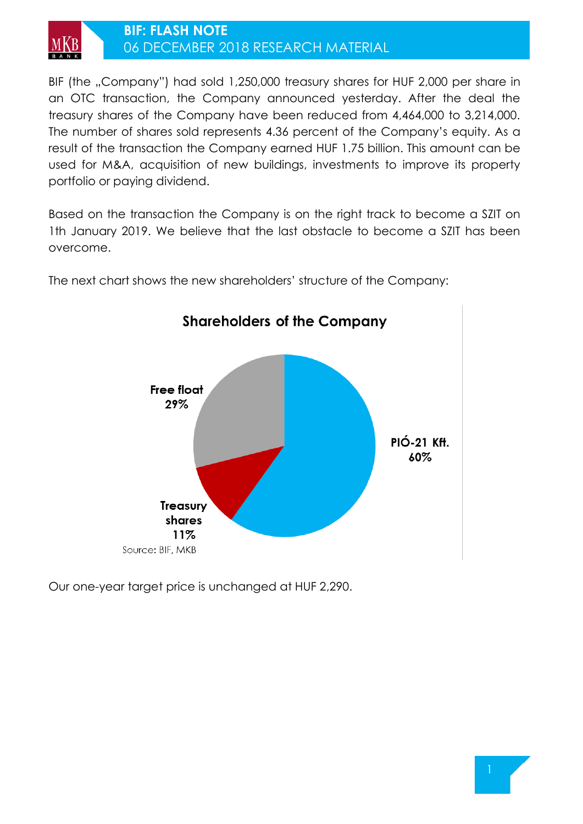

## **BIF: FLASH NOTE** 06 DECEMBER 2018 RESEARCH MATERIAL

BIF (the ..Company") had sold 1,250,000 treasury shares for HUF 2,000 per share in an OTC transaction, the Company announced yesterday. After the deal the treasury shares of the Company have been reduced from 4,464,000 to 3,214,000. The number of shares sold represents 4.36 percent of the Company's equity. As a result of the transaction the Company earned HUF 1.75 billion. This amount can be used for M&A, acquisition of new buildings, investments to improve its property portfolio or paying dividend.

Based on the transaction the Company is on the right track to become a SZIT on 1th January 2019. We believe that the last obstacle to become a SZIT has been overcome.

**Shareholders of the Company** 



The next chart shows the new shareholders' structure of the Company:

Our one-year target price is unchanged at HUF 2,290.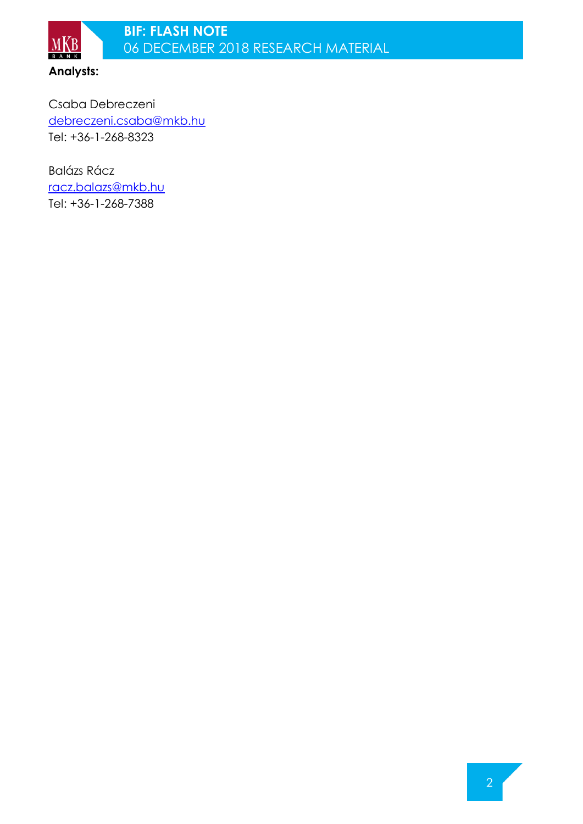

Csaba Debreczeni [debreczeni.csaba@mkb.hu](mailto:debreczeni.csaba@mkb.hu) Tel: +36-1-268-8323

Balázs Rácz [racz.balazs@mkb.hu](mailto:racz.balazs@mkb.hu) Tel: +36-1-268-7388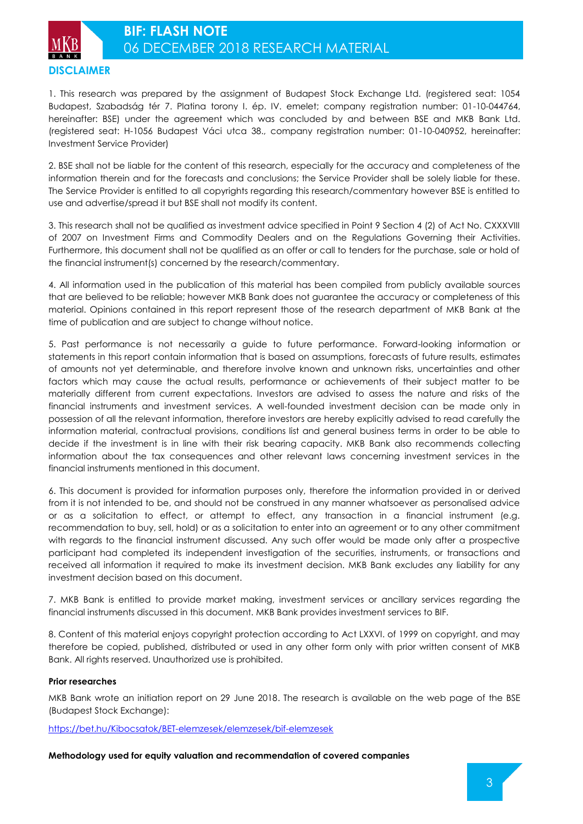

1. This research was prepared by the assignment of Budapest Stock Exchange Ltd. (registered seat: 1054 Budapest, Szabadság tér 7. Platina torony I. ép. IV. emelet; company registration number: 01-10-044764, hereinafter: BSE) under the agreement which was concluded by and between BSE and MKB Bank Ltd. (registered seat: H-1056 Budapest Váci utca 38., company registration number: 01-10-040952, hereinafter: Investment Service Provider)

2. BSE shall not be liable for the content of this research, especially for the accuracy and completeness of the information therein and for the forecasts and conclusions; the Service Provider shall be solely liable for these. The Service Provider is entitled to all copyrights regarding this research/commentary however BSE is entitled to use and advertise/spread it but BSE shall not modify its content.

3. This research shall not be qualified as investment advice specified in Point 9 Section 4 (2) of Act No. CXXXVIII of 2007 on Investment Firms and Commodity Dealers and on the Regulations Governing their Activities. Furthermore, this document shall not be qualified as an offer or call to tenders for the purchase, sale or hold of the financial instrument(s) concerned by the research/commentary.

4. All information used in the publication of this material has been compiled from publicly available sources that are believed to be reliable; however MKB Bank does not guarantee the accuracy or completeness of this material. Opinions contained in this report represent those of the research department of MKB Bank at the time of publication and are subject to change without notice.

5. Past performance is not necessarily a guide to future performance. Forward-looking information or statements in this report contain information that is based on assumptions, forecasts of future results, estimates of amounts not yet determinable, and therefore involve known and unknown risks, uncertainties and other factors which may cause the actual results, performance or achievements of their subject matter to be materially different from current expectations. Investors are advised to assess the nature and risks of the financial instruments and investment services. A well-founded investment decision can be made only in possession of all the relevant information, therefore investors are hereby explicitly advised to read carefully the information material, contractual provisions, conditions list and general business terms in order to be able to decide if the investment is in line with their risk bearing capacity. MKB Bank also recommends collecting information about the tax consequences and other relevant laws concerning investment services in the financial instruments mentioned in this document.

6. This document is provided for information purposes only, therefore the information provided in or derived from it is not intended to be, and should not be construed in any manner whatsoever as personalised advice or as a solicitation to effect, or attempt to effect, any transaction in a financial instrument (e.g. recommendation to buy, sell, hold) or as a solicitation to enter into an agreement or to any other commitment with regards to the financial instrument discussed. Any such offer would be made only after a prospective participant had completed its independent investigation of the securities, instruments, or transactions and received all information it required to make its investment decision. MKB Bank excludes any liability for any investment decision based on this document.

7. MKB Bank is entitled to provide market making, investment services or ancillary services regarding the financial instruments discussed in this document. MKB Bank provides investment services to BIF.

8. Content of this material enjoys copyright protection according to Act LXXVI. of 1999 on copyright, and may therefore be copied, published, distributed or used in any other form only with prior written consent of MKB Bank. All rights reserved. Unauthorized use is prohibited.

## **Prior researches**

MKB Bank wrote an initiation report on 29 June 2018. The research is available on the web page of the BSE (Budapest Stock Exchange):

<https://bet.hu/Kibocsatok/BET-elemzesek/elemzesek/bif-elemzesek>

**Methodology used for equity valuation and recommendation of covered companies**